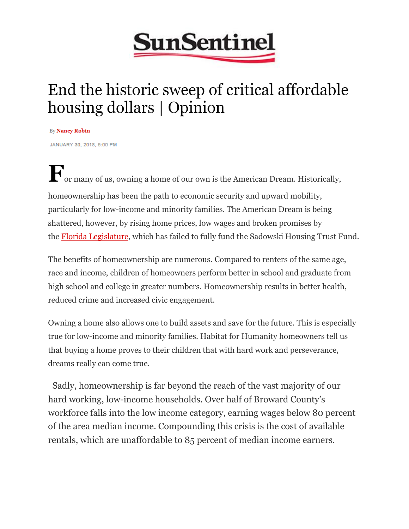

## End the historic sweep of critical affordable housing dollars | Opinion

By Nancy Robin

JANUARY 30, 2018, 5:00 PM

**F**or many of us, owning a home of our own is the American Dream. Historically, homeownership has been the path to economic security and upward mobility, particularly for low-income and minority families. The American Dream is being shattered, however, by rising home prices, low wages and broken promises by the **Florida Legislature**, which has failed to fully fund the Sadowski Housing Trust Fund.

The benefits of homeownership are numerous. Compared to renters of the same age, race and income, children of homeowners perform better in school and graduate from high school and college in greater numbers. Homeownership results in better health, reduced crime and increased civic engagement.

Owning a home also allows one to build assets and save for the future. This is especially true for low-income and minority families. Habitat for Humanity homeowners tell us that buying a home proves to their children that with hard work and perseverance, dreams really can come true.

 Sadly, homeownership is far beyond the reach of the vast majority of our hard working, low-income households. Over half of Broward County's workforce falls into the low income category, earning wages below 80 percent of the area median income. Compounding this crisis is the cost of available rentals, which are unaffordable to 85 percent of median income earners.